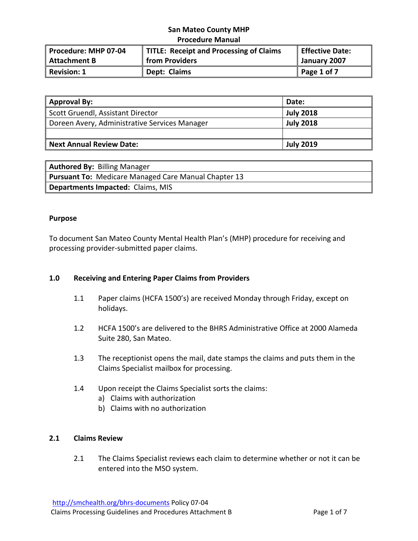| Procedure: MHP 07-04 | TITLE: Receipt and Processing of Claims | Effective Date: |
|----------------------|-----------------------------------------|-----------------|
| Attachment B         | from Providers                          | January 2007    |
| Revision: 1          | Dept: Claims                            | Page 1 of 7     |

| <b>Approval By:</b>                           | Date:            |
|-----------------------------------------------|------------------|
| Scott Gruendl, Assistant Director             | <b>July 2018</b> |
| Doreen Avery, Administrative Services Manager | <b>July 2018</b> |
|                                               |                  |
| <b>Next Annual Review Date:</b>               | <b>July 2019</b> |

| <b>Authored By: Billing Manager</b>                         |
|-------------------------------------------------------------|
| <b>Pursuant To: Medicare Managed Care Manual Chapter 13</b> |
| <b>Departments Impacted: Claims, MIS</b>                    |

### **Purpose**

To document San Mateo County Mental Health Plan's (MHP) procedure for receiving and processing provider‐submitted paper claims.

## **1.0 Receiving and Entering Paper Claims from Providers**

- 1.1 Paper claims (HCFA 1500's) are received Monday through Friday, except on holidays.
- 1.2 HCFA 1500's are delivered to the BHRS Administrative Office at 2000 Alameda Suite 280, San Mateo.
- 1.3 The receptionist opens the mail, date stamps the claims and puts them in the Claims Specialist mailbox for processing.
- 1.4 Upon receipt the Claims Specialist sorts the claims:
	- a) Claims with authorization
	- b) Claims with no authorization

## **2.1 Claims Review**

2.1 The Claims Specialist reviews each claim to determine whether or not it can be entered into the MSO system.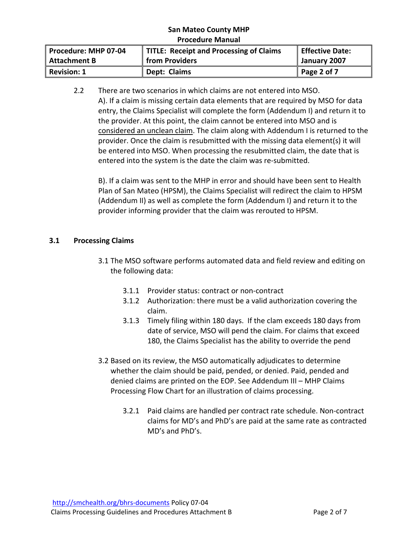| Procedure: MHP 07-04 | TITLE: Receipt and Processing of Claims | Effective Date: |
|----------------------|-----------------------------------------|-----------------|
| Attachment B         | from Providers                          | January 2007    |
| Revision: 1          | Dept: Claims                            | Page 2 of 7     |

2.2 There are two scenarios in which claims are not entered into MSO. A). If a claim is missing certain data elements that are required by MSO for data entry, the Claims Specialist will complete the form (Addendum I) and return it to the provider. At this point, the claim cannot be entered into MSO and is considered an unclean claim. The claim along with Addendum I is returned to the provider. Once the claim is resubmitted with the missing data element(s) it will be entered into MSO. When processing the resubmitted claim, the date that is entered into the system is the date the claim was re‐submitted.

B). If a claim was sent to the MHP in error and should have been sent to Health Plan of San Mateo (HPSM), the Claims Specialist will redirect the claim to HPSM (Addendum II) as well as complete the form (Addendum I) and return it to the provider informing provider that the claim was rerouted to HPSM.

# **3.1 Processing Claims**

- 3.1 The MSO software performs automated data and field review and editing on the following data:
	- 3.1.1 Provider status: contract or non‐contract
	- 3.1.2 Authorization: there must be a valid authorization covering the claim.
	- 3.1.3 Timely filing within 180 days. If the clam exceeds 180 days from date of service, MSO will pend the claim. For claims that exceed 180, the Claims Specialist has the ability to override the pend
- 3.2 Based on its review, the MSO automatically adjudicates to determine whether the claim should be paid, pended, or denied. Paid, pended and denied claims are printed on the EOP. See Addendum III – MHP Claims Processing Flow Chart for an illustration of claims processing.
	- 3.2.1 Paid claims are handled per contract rate schedule. Non‐contract claims for MD's and PhD's are paid at the same rate as contracted MD's and PhD's.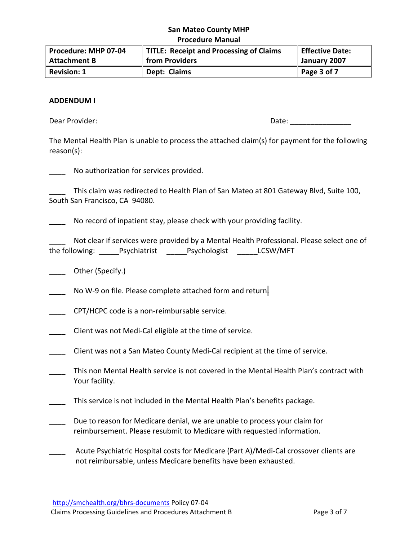| Procedure: MHP 07-04 | TITLE: Receipt and Processing of Claims | Effective Date: |
|----------------------|-----------------------------------------|-----------------|
| Attachment B         | from Providers                          | January 2007    |
| Revision: 1          | Dept: Claims                            | Page $3$ of $7$ |

#### **ADDENDUM I**

Dear Provider: The contract of the contract of the contract of the contract of the contract of the contract of the contract of the contract of the contract of the contract of the contract of the contract of the contract of

The Mental Health Plan is unable to process the attached claim(s) for payment for the following reason(s):

| No authorization for services provided. |  |  |  |
|-----------------------------------------|--|--|--|
|-----------------------------------------|--|--|--|

This claim was redirected to Health Plan of San Mateo at 801 Gateway Blvd, Suite 100, South San Francisco, CA 94080.

No record of inpatient stay, please check with your providing facility.

Not clear if services were provided by a Mental Health Professional. Please select one of the following: \_\_\_\_\_Psychiatrist \_\_\_\_\_Psychologist \_\_\_\_\_LCSW/MFT

\_\_\_\_ Other (Specify.)

No W-9 on file. Please complete attached form and return.

\_\_\_\_ CPT/HCPC code is a non‐reimbursable service.

\_\_\_\_ Client was not Medi‐Cal eligible at the time of service.

Client was not a San Mateo County Medi-Cal recipient at the time of service.

\_\_\_\_ This non Mental Health service is not covered in the Mental Health Plan's contract with Your facility.

This service is not included in the Mental Health Plan's benefits package.

Due to reason for Medicare denial, we are unable to process your claim for reimbursement. Please resubmit to Medicare with requested information.

Acute Psychiatric Hospital costs for Medicare (Part A)/Medi-Cal crossover clients are not reimbursable, unless Medicare benefits have been exhausted.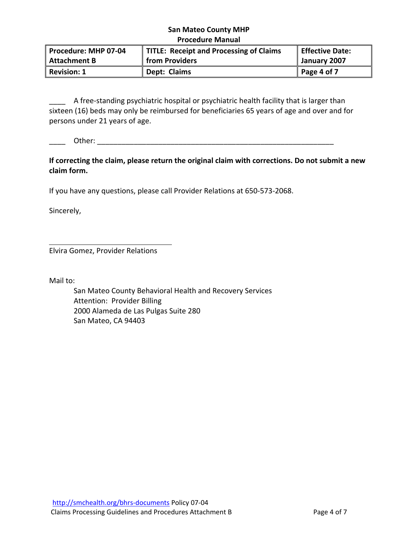| Procedure: MHP 07-04 | TITLE: Receipt and Processing of Claims | Effective Date:     |
|----------------------|-----------------------------------------|---------------------|
| <b>Attachment B</b>  | $\mathbin\Vert$ from Providers          | January 2007        |
| <b>Revision: 1</b>   | Dept: Claims                            | $\vert$ Page 4 of 7 |

\_\_\_\_ A free-standing psychiatric hospital or psychiatric health facility that is larger than sixteen (16) beds may only be reimbursed for beneficiaries 65 years of age and over and for persons under 21 years of age.

\_\_\_\_ Other: \_\_\_\_\_\_\_\_\_\_\_\_\_\_\_\_\_\_\_\_\_\_\_\_\_\_\_\_\_\_\_\_\_\_\_\_\_\_\_\_\_\_\_\_\_\_\_\_\_\_\_\_\_\_\_\_\_\_

**If correcting the claim, please return the original claim with corrections. Do not submit a new claim form.** 

If you have any questions, please call Provider Relations at 650‐573‐2068.

Sincerely,

Elvira Gomez, Provider Relations

Mail to:

San Mateo County Behavioral Health and Recovery Services Attention: Provider Billing 2000 Alameda de Las Pulgas Suite 280 San Mateo, CA 94403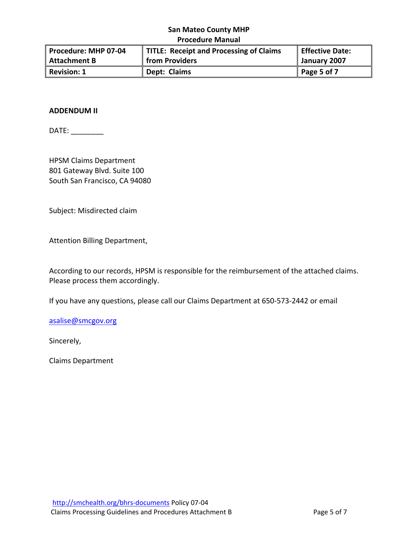| Procedure: MHP 07-04 | TITLE: Receipt and Processing of Claims | Effective Date: |
|----------------------|-----------------------------------------|-----------------|
| Attachment B         | from Providers                          | January 2007    |
| Revision: 1          | Dept: Claims                            | Page 5 of 7     |

### **ADDENDUM II**

DATE: \_\_\_\_\_\_\_\_

HPSM Claims Department 801 Gateway Blvd. Suite 100 South San Francisco, CA 94080

Subject: Misdirected claim

Attention Billing Department,

According to our records, HPSM is responsible for the reimbursement of the attached claims. Please process them accordingly.

If you have any questions, please call our Claims Department at 650‐573‐2442 or email

asalise@smcgov.org

Sincerely,

Claims Department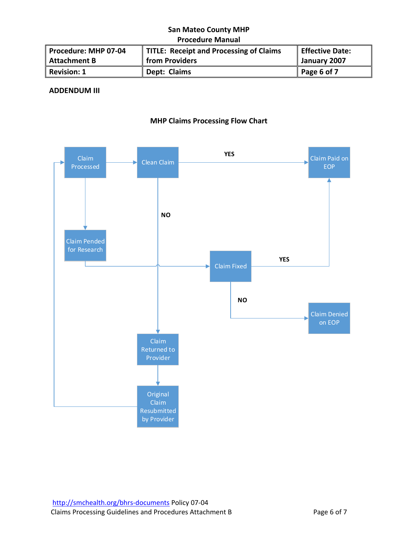| Procedure: MHP 07-04 | TITLE: Receipt and Processing of Claims | Effective Date: |
|----------------------|-----------------------------------------|-----------------|
| Attachment B         | from Providers                          | January 2007    |
| Revision: 1          | Dept: Claims                            | Page 6 of 7     |

# **ADDENDUM III**